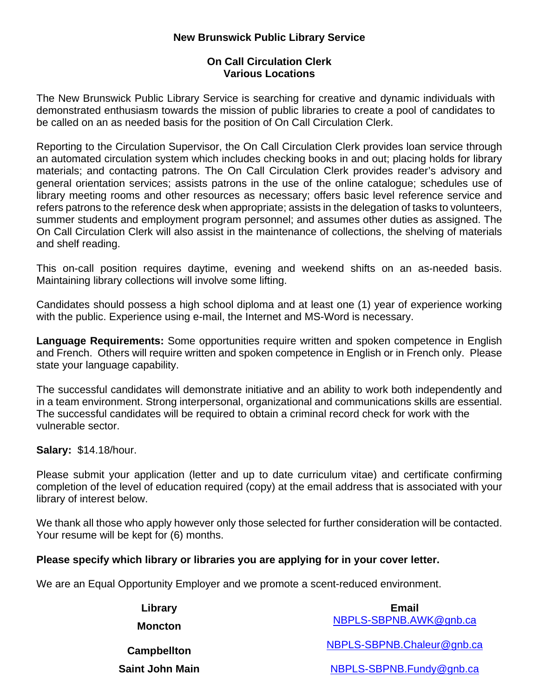## **New Brunswick Public Library Service**

## **On Call Circulation Clerk Various Locations**

The New Brunswick Public Library Service is searching for creative and dynamic individuals with demonstrated enthusiasm towards the mission of public libraries to create a pool of candidates to be called on an as needed basis for the position of On Call Circulation Clerk.

Reporting to the Circulation Supervisor, the On Call Circulation Clerk provides loan service through an automated circulation system which includes checking books in and out; placing holds for library materials; and contacting patrons. The On Call Circulation Clerk provides reader's advisory and general orientation services; assists patrons in the use of the online catalogue; schedules use of library meeting rooms and other resources as necessary; offers basic level reference service and refers patrons to the reference desk when appropriate; assists in the delegation of tasks to volunteers, summer students and employment program personnel; and assumes other duties as assigned. The On Call Circulation Clerk will also assist in the maintenance of collections, the shelving of materials and shelf reading.

This on-call position requires daytime, evening and weekend shifts on an as-needed basis. Maintaining library collections will involve some lifting.

Candidates should possess a high school diploma and at least one (1) year of experience working with the public. Experience using e-mail, the Internet and MS-Word is necessary.

**Language Requirements:** Some opportunities require written and spoken competence in English and French. Others will require written and spoken competence in English or in French only. Please state your language capability.

The successful candidates will demonstrate initiative and an ability to work both independently and in a team environment. Strong interpersonal, organizational and communications skills are essential. The successful candidates will be required to obtain a criminal record check for work with the vulnerable sector.

**Salary:** \$14.18/hour.

Please submit your application (letter and up to date curriculum vitae) and certificate confirming completion of the level of education required (copy) at the email address that is associated with your library of interest below.

We thank all those who apply however only those selected for further consideration will be contacted. Your resume will be kept for (6) months.

## **Please specify which library or libraries you are applying for in your cover letter.**

We are an Equal Opportunity Employer and we promote a scent-reduced environment.

| Library            | Email                      |
|--------------------|----------------------------|
| <b>Moncton</b>     | NBPLS-SBPNB.AWK@gnb.ca     |
| <b>Campbellton</b> | NBPLS-SBPNB.Chaleur@gnb.ca |
| Saint John Main    | NBPLS-SBPNB.Fundy@gnb.ca   |